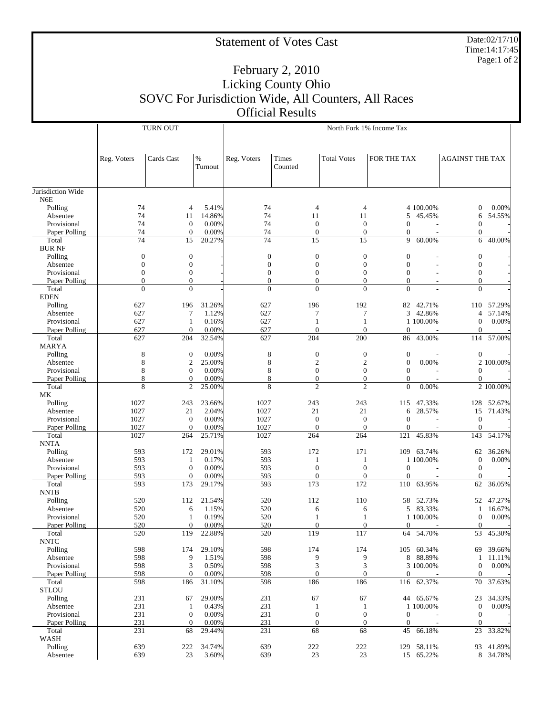## Statement of Votes Cast

Date:02/17/10 Time:14:17:45 Page:1 of 2

## February 2, 2010 Licking County Ohio SOVC For Jurisdiction Wide, All Counters, All Races Official Results

|                              |                                | <b>TURN OUT</b>          |                 | North Fork 1% Income Tax         |                                  |                          |                                |            |                              |            |  |
|------------------------------|--------------------------------|--------------------------|-----------------|----------------------------------|----------------------------------|--------------------------|--------------------------------|------------|------------------------------|------------|--|
|                              |                                |                          |                 |                                  |                                  |                          |                                |            |                              |            |  |
|                              | Reg. Voters                    | Cards Cast               | $\%$<br>Turnout | Reg. Voters                      | Times<br>Counted                 | <b>Total Votes</b>       | FOR THE TAX                    |            | <b>AGAINST THE TAX</b>       |            |  |
|                              |                                |                          |                 |                                  |                                  |                          |                                |            |                              |            |  |
| Jurisdiction Wide<br>N6E     |                                |                          |                 |                                  |                                  |                          |                                |            |                              |            |  |
| Polling                      | 74                             | $\overline{4}$           | 5.41%           | 74                               | 4                                | $\overline{4}$           |                                | 4 100.00%  | $\boldsymbol{0}$             | 0.00%      |  |
| Absentee                     | 74                             | 11                       | 14.86%          | 74                               | 11                               | 11                       | 5                              | 45.45%     | 6                            | 54.55%     |  |
| Provisional                  | 74                             | $\mathbf{0}$             | 0.00%           | 74                               | $\mathbf{0}$                     | $\mathbf{0}$             | $\boldsymbol{0}$               |            | $\mathbf{0}$                 |            |  |
| Paper Polling                | 74                             | $\theta$                 | 0.00%           | 74                               | $\mathbf{0}$                     | $\theta$                 | $\overline{0}$                 |            | $\boldsymbol{0}$             |            |  |
| Total                        | $\overline{74}$                | 15                       | 20.27%          | 74                               | 15                               | 15                       | 9                              | 60.00%     | 6                            | 40.00%     |  |
| <b>BURNF</b>                 |                                |                          |                 |                                  |                                  |                          |                                |            |                              |            |  |
| Polling                      | $\boldsymbol{0}$               | $\mathbf{0}$             |                 | $\boldsymbol{0}$                 | $\boldsymbol{0}$                 | $\mathbf{0}$             | $\mathbf{0}$                   |            | $\mathbf{0}$                 |            |  |
| Absentee                     | $\theta$                       | $\boldsymbol{0}$         |                 | $\boldsymbol{0}$                 | $\boldsymbol{0}$                 | $\overline{0}$           | $\mathbf{0}$                   |            | $\mathbf{0}$                 |            |  |
| Provisional                  | $\mathbf{0}$                   | $\theta$                 |                 | $\boldsymbol{0}$                 | $\mathbf{0}$                     | $\overline{0}$           | $\mathbf{0}$                   |            | $\mathbf{0}$                 |            |  |
| Paper Polling                | $\mathbf{0}$<br>$\overline{0}$ | $\mathbf{0}$             |                 | $\overline{0}$<br>$\overline{0}$ | $\overline{0}$<br>$\overline{0}$ | $\theta$<br>$\mathbf{0}$ | $\overline{0}$                 |            | $\mathbf{0}$                 |            |  |
| Total<br><b>EDEN</b>         |                                | $\mathbf{0}$             |                 |                                  |                                  |                          | $\mathbf{0}$                   |            | $\mathbf{0}$                 |            |  |
| Polling                      | 627                            | 196                      | 31.26%          | 627                              | 196                              | 192                      |                                | 82 42.71%  |                              | 110 57.29% |  |
| Absentee                     | 627                            | 7                        | 1.12%           | 627                              | 7                                | 7                        |                                | 3 42.86%   | 4                            | 57.14%     |  |
| Provisional                  | 627                            | $\mathbf{1}$             | 0.16%           | 627                              | 1                                | 1                        |                                | 1 100.00%  | $\overline{0}$               | 0.00%      |  |
| Paper Polling                | 627                            | $\mathbf{0}$             | 0.00%           | 627                              | $\mathbf{0}$                     | $\theta$                 | $\mathbf{0}$                   |            | $\mathbf{0}$                 |            |  |
| Total                        | 627                            | 204                      | 32.54%          | 627                              | 204                              | 200                      | 86                             | 43.00%     | 114                          | 57.00%     |  |
| <b>MARYA</b>                 |                                |                          |                 |                                  |                                  |                          |                                |            |                              |            |  |
| Polling                      | 8                              | $\mathbf{0}$             | 0.00%           | $\,$ 8 $\,$                      | $\boldsymbol{0}$                 | $\boldsymbol{0}$         | $\boldsymbol{0}$               |            | $\boldsymbol{0}$             |            |  |
| Absentee                     | 8                              | $\overline{2}$           | 25.00%          | $\,$ 8 $\,$                      | $\mathfrak{2}$                   | $\overline{c}$           | $\mathbf{0}$                   | 0.00%      |                              | 2 100.00%  |  |
| Provisional                  | 8                              | $\theta$                 | 0.00%           | 8                                | $\mathbf{0}$                     | $\mathbf{0}$             | $\mathbf{0}$                   |            | $\theta$                     |            |  |
| Paper Polling                | 8                              | $\overline{0}$           | 0.00%           | 8                                | $\overline{0}$                   | $\theta$                 | $\mathbf{0}$                   |            | $\boldsymbol{0}$             |            |  |
| Total                        | 8                              | $\mathfrak{2}$           | 25.00%          | 8                                | $\overline{2}$                   | $\overline{c}$           | $\overline{0}$                 | 0.00%      |                              | 2 100.00%  |  |
| МK                           |                                |                          |                 |                                  |                                  |                          |                                |            |                              |            |  |
| Polling                      | 1027                           | 243                      | 23.66%          | 1027                             | 243                              | 243                      | 115                            | 47.33%     | 128                          | 52.67%     |  |
| Absentee                     | 1027                           | 21                       | 2.04%           | 1027                             | 21                               | 21                       | 6                              | 28.57%     | 15                           | 71.43%     |  |
| Provisional<br>Paper Polling | 1027<br>1027                   | $\mathbf{0}$<br>$\theta$ | 0.00%<br>0.00%  | 1027<br>1027                     | $\mathbf{0}$<br>$\mathbf{0}$     | $\mathbf{0}$<br>$\theta$ | $\mathbf{0}$<br>$\overline{0}$ |            | $\mathbf{0}$<br>$\mathbf{0}$ |            |  |
| Total                        | 1027                           | 264                      | 25.71%          | 1027                             | 264                              | 264                      | 121                            | 45.83%     | 143                          | 54.17%     |  |
| <b>NNTA</b>                  |                                |                          |                 |                                  |                                  |                          |                                |            |                              |            |  |
| Polling                      | 593                            | 172                      | 29.01%          | 593                              | 172                              | 171                      |                                | 109 63.74% | 62                           | 36.26%     |  |
| Absentee                     | 593                            | $\mathbf{1}$             | 0.17%           | 593                              | $\mathbf{1}$                     | $\mathbf{1}$             |                                | 1 100.00%  | $\theta$                     | 0.00%      |  |
| Provisional                  | 593                            | $\mathbf{0}$             | 0.00%           | 593                              | $\mathbf{0}$                     | $\boldsymbol{0}$         | $\boldsymbol{0}$               |            | $\theta$                     |            |  |
| Paper Polling                | 593                            | $\mathbf{0}$             | 0.00%           | 593                              | $\mathbf{0}$                     | $\mathbf{0}$             | $\overline{0}$                 |            | $\theta$                     |            |  |
| Total                        | 593                            | 173                      | 29.17%          | 593                              | 173                              | 172                      | 110                            | 63.95%     | 62                           | 36.05%     |  |
| <b>NNTB</b>                  |                                |                          |                 |                                  |                                  |                          |                                |            |                              |            |  |
| Polling                      | 520                            | 112                      | 21.54%          | 520                              | 112                              | 110                      |                                | 58 52.73%  | 52                           | 47.27%     |  |
| Absentee                     | 520                            | 6                        | 1.15%           | 520                              | 6                                | 6                        |                                | 5 83.33%   | 1                            | 16.67%     |  |
| Provisional                  | 520<br>520                     | 1<br>$\overline{0}$      | 0.19%<br>0.00%  | 520<br>520                       | 1<br>$\overline{0}$              | 1<br>$\Omega$            | $\mathbf{0}$                   | 1 100.00%  | $\mathbf{0}$<br>$\mathbf{0}$ | 0.00%      |  |
| Paper Polling<br>Total       | 520                            | 119                      | 22.88%          | 520                              | 119                              | 117                      | 64                             | 54.70%     | 53                           | 45.30%     |  |
| <b>NNTC</b>                  |                                |                          |                 |                                  |                                  |                          |                                |            |                              |            |  |
| Polling                      | 598                            | 174                      | 29.10%          | 598                              | 174                              | 174                      |                                | 105 60.34% | 69                           | 39.66%     |  |
| Absentee                     | 598                            | 9                        | 1.51%           | 598                              | 9                                | 9                        |                                | 8 88.89%   | $\mathbf{1}$                 | 11.11%     |  |
| Provisional                  | 598                            | 3                        | 0.50%           | 598                              | 3                                | 3                        |                                | 3 100.00%  | $\mathbf{0}$                 | 0.00%      |  |
| Paper Polling                | 598                            | $\boldsymbol{0}$         | 0.00%           | 598                              | $\boldsymbol{0}$                 | $\mathbf{0}$             | $\mathbf{0}$                   |            | $\mathbf{0}$                 |            |  |
| Total                        | 598                            | 186                      | 31.10%          | 598                              | 186                              | 186                      | 116                            | 62.37%     | 70                           | 37.63%     |  |
| <b>STLOU</b>                 |                                |                          |                 |                                  |                                  |                          |                                |            |                              |            |  |
| Polling                      | 231                            | 67                       | 29.00%          | 231                              | 67                               | 67                       |                                | 44 65.67%  | 23                           | 34.33%     |  |
| Absentee                     | 231                            | $\mathbf{1}$             | 0.43%           | 231                              | $\mathbf{1}$                     | $\mathbf{1}$             |                                | 1 100.00%  | $\mathbf{0}$                 | 0.00%      |  |
| Provisional                  | 231                            | $\mathbf{0}$             | 0.00%           | 231                              | $\boldsymbol{0}$                 | $\mathbf{0}$             | $\mathbf{0}$                   |            | $\mathbf{0}$                 |            |  |
| Paper Polling                | 231                            | $\mathbf{0}$             | 0.00%           | 231                              | $\mathbf{0}$                     | $\mathbf{0}$             | $\mathbf{0}$                   |            | $\mathbf{0}$                 |            |  |
| Total<br>WASH                | 231                            | 68                       | 29.44%          | 231                              | 68                               | 68                       | 45                             | 66.18%     | 23                           | 33.82%     |  |
| Polling                      | 639                            | 222                      | 34.74%          | 639                              | $222\,$                          | $222\,$                  |                                | 129 58.11% | 93                           | 41.89%     |  |
| Absentee                     | 639                            | 23                       | 3.60%           | 639                              | 23                               | 23                       |                                | 15 65.22%  |                              | 8 34.78%   |  |
|                              |                                |                          |                 |                                  |                                  |                          |                                |            |                              |            |  |